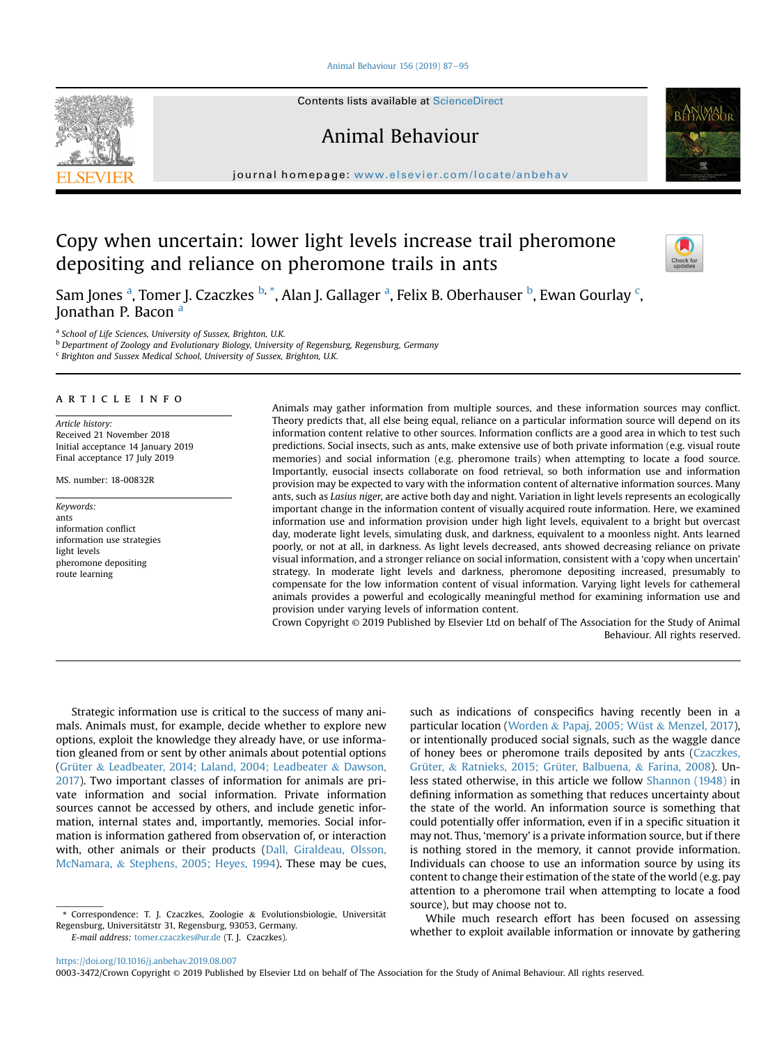#### [Animal Behaviour 156 \(2019\) 87](https://doi.org/10.1016/j.anbehav.2019.08.007)-[95](https://doi.org/10.1016/j.anbehav.2019.08.007)



Contents lists available at ScienceDirect

## Animal Behaviour



journal homepage: [www.elsevier.com/locate/anbehav](http://www.elsevier.com/locate/anbehav)

# Copy when uncertain: lower light levels increase trail pheromone depositing and reliance on pheromone trails in ants



Sam Jones <sup>a</sup>, Tomer J. Czaczkes <sup>b, \*</sup>, Alan J. Gallager <sup>a</sup>, Felix B. Oberhauser <sup>b</sup>, Ewan Gourlay <sup>c</sup>, Jonathan P. Bacon <sup>a</sup>

<sup>a</sup> School of Life Sciences, University of Sussex, Brighton, U.K.

<sup>b</sup> Department of Zoology and Evolutionary Biology, University of Regensburg, Regensburg, Germany

 $c$  Brighton and Sussex Medical School, University of Sussex, Brighton, U.K.

## article info

Article history: Received 21 November 2018 Initial acceptance 14 January 2019 Final acceptance 17 July 2019

MS. number: 18-00832R

Keywords: ants information conflict information use strategies light levels pheromone depositing route learning

Animals may gather information from multiple sources, and these information sources may conflict. Theory predicts that, all else being equal, reliance on a particular information source will depend on its information content relative to other sources. Information conflicts are a good area in which to test such predictions. Social insects, such as ants, make extensive use of both private information (e.g. visual route memories) and social information (e.g. pheromone trails) when attempting to locate a food source. Importantly, eusocial insects collaborate on food retrieval, so both information use and information provision may be expected to vary with the information content of alternative information sources. Many ants, such as Lasius niger, are active both day and night. Variation in light levels represents an ecologically important change in the information content of visually acquired route information. Here, we examined information use and information provision under high light levels, equivalent to a bright but overcast day, moderate light levels, simulating dusk, and darkness, equivalent to a moonless night. Ants learned poorly, or not at all, in darkness. As light levels decreased, ants showed decreasing reliance on private visual information, and a stronger reliance on social information, consistent with a 'copy when uncertain' strategy. In moderate light levels and darkness, pheromone depositing increased, presumably to compensate for the low information content of visual information. Varying light levels for cathemeral animals provides a powerful and ecologically meaningful method for examining information use and provision under varying levels of information content.

Crown Copyright © 2019 Published by Elsevier Ltd on behalf of The Association for the Study of Animal Behaviour. All rights reserved.

Strategic information use is critical to the success of many animals. Animals must, for example, decide whether to explore new options, exploit the knowledge they already have, or use information gleaned from or sent by other animals about potential options ([Grüter](#page-8-0) & [Leadbeater, 2014; Laland, 2004; Leadbeater](#page-8-0) & [Dawson,](#page-8-0) [2017](#page-8-0)). Two important classes of information for animals are private information and social information. Private information sources cannot be accessed by others, and include genetic information, internal states and, importantly, memories. Social information is information gathered from observation of, or interaction with, other animals or their products ([Dall, Giraldeau, Olsson,](#page-7-0) [McNamara,](#page-7-0) & [Stephens, 2005; Heyes, 1994](#page-7-0)). These may be cues,

\* Correspondence: T. J. Czaczkes, Zoologie & Evolutionsbiologie, Universität Regensburg, Universitätstr 31, Regensburg, 93053, Germany.

E-mail address: [tomer.czaczkes@ur.de](mailto:tomer.czaczkes@ur.de) (T. J. Czaczkes).

such as indications of conspecifics having recently been in a particular location [\(Worden](#page-8-0) & [Papaj, 2005; Wüst](#page-8-0) & [Menzel, 2017\)](#page-8-0), or intentionally produced social signals, such as the waggle dance of honey bees or pheromone trails deposited by ants [\(Czaczkes,](#page-7-0) [Grüter,](#page-7-0) & [Ratnieks, 2015; Grüter, Balbuena,](#page-7-0) & [Farina, 2008](#page-7-0)). Unless stated otherwise, in this article we follow [Shannon \(1948\)](#page-8-0) in defining information as something that reduces uncertainty about the state of the world. An information source is something that could potentially offer information, even if in a specific situation it may not. Thus, 'memory' is a private information source, but if there is nothing stored in the memory, it cannot provide information. Individuals can choose to use an information source by using its content to change their estimation of the state of the world (e.g. pay attention to a pheromone trail when attempting to locate a food source), but may choose not to.

While much research effort has been focused on assessing whether to exploit available information or innovate by gathering

0003-3472/Crown Copyright © 2019 Published by Elsevier Ltd on behalf of The Association for the Study of Animal Behaviour. All rights reserved.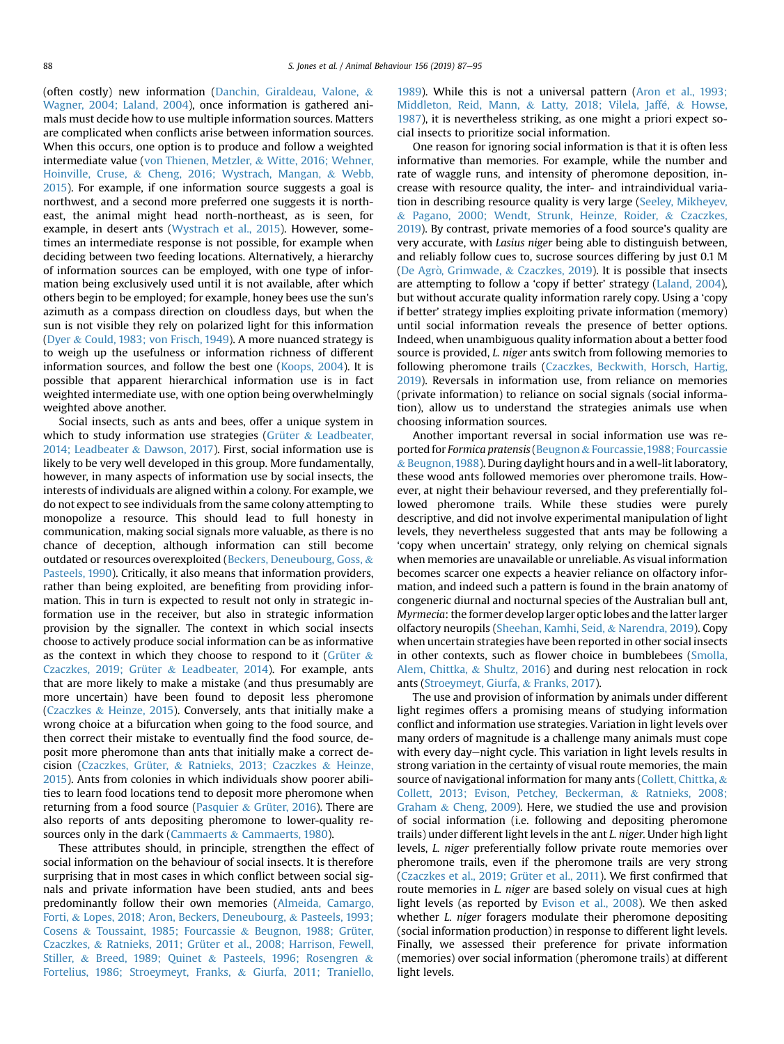(often costly) new information ([Danchin, Giraldeau, Valone,](#page-7-0) & [Wagner, 2004; Laland, 2004](#page-7-0)), once information is gathered animals must decide how to use multiple information sources. Matters are complicated when conflicts arise between information sources. When this occurs, one option is to produce and follow a weighted intermediate value ([von Thienen, Metzler,](#page-8-0) & [Witte, 2016; Wehner,](#page-8-0) [Hoinville, Cruse,](#page-8-0) & [Cheng, 2016; Wystrach, Mangan,](#page-8-0) & [Webb,](#page-8-0) [2015](#page-8-0)). For example, if one information source suggests a goal is northwest, and a second more preferred one suggests it is northeast, the animal might head north-northeast, as is seen, for example, in desert ants ([Wystrach et al., 2015\)](#page-8-0). However, sometimes an intermediate response is not possible, for example when deciding between two feeding locations. Alternatively, a hierarchy of information sources can be employed, with one type of information being exclusively used until it is not available, after which others begin to be employed; for example, honey bees use the sun's azimuth as a compass direction on cloudless days, but when the sun is not visible they rely on polarized light for this information ([Dyer](#page-8-0) & [Could, 1983; von Frisch, 1949\)](#page-8-0). A more nuanced strategy is to weigh up the usefulness or information richness of different information sources, and follow the best one ([Koops, 2004\)](#page-8-0). It is possible that apparent hierarchical information use is in fact weighted intermediate use, with one option being overwhelmingly weighted above another.

Social insects, such as ants and bees, offer a unique system in which to study information use strategies ([Grüter](#page-8-0) & [Leadbeater,](#page-8-0) [2014; Leadbeater](#page-8-0) & [Dawson, 2017](#page-8-0)). First, social information use is likely to be very well developed in this group. More fundamentally, however, in many aspects of information use by social insects, the interests of individuals are aligned within a colony. For example, we do not expect to see individuals from the same colony attempting to monopolize a resource. This should lead to full honesty in communication, making social signals more valuable, as there is no chance of deception, although information can still become outdated or resources overexploited ([Beckers, Deneubourg, Goss,](#page-7-0) & [Pasteels, 1990\)](#page-7-0). Critically, it also means that information providers, rather than being exploited, are benefiting from providing information. This in turn is expected to result not only in strategic information use in the receiver, but also in strategic information provision by the signaller. The context in which social insects choose to actively produce social information can be as informative as the context in which they choose to respond to it [\(Grüter](#page-8-0)  $\&$ [Czaczkes, 2019; Grüter](#page-8-0) & [Leadbeater, 2014\)](#page-8-0). For example, ants that are more likely to make a mistake (and thus presumably are more uncertain) have been found to deposit less pheromone ([Czaczkes](#page-7-0) & [Heinze, 2015\)](#page-7-0). Conversely, ants that initially make a wrong choice at a bifurcation when going to the food source, and then correct their mistake to eventually find the food source, deposit more pheromone than ants that initially make a correct decision [\(Czaczkes, Grüter,](#page-7-0) & [Ratnieks, 2013; Czaczkes](#page-7-0) & [Heinze,](#page-7-0) [2015](#page-7-0)). Ants from colonies in which individuals show poorer abilities to learn food locations tend to deposit more pheromone when returning from a food source [\(Pasquier](#page-8-0)  $&$  [Grüter, 2016](#page-8-0)). There are also reports of ants depositing pheromone to lower-quality re-sources only in the dark ([Cammaerts](#page-7-0) & [Cammaerts, 1980](#page-7-0)).

These attributes should, in principle, strengthen the effect of social information on the behaviour of social insects. It is therefore surprising that in most cases in which conflict between social signals and private information have been studied, ants and bees predominantly follow their own memories ([Almeida, Camargo,](#page-7-0) [Forti,](#page-7-0) & [Lopes, 2018; Aron, Beckers, Deneubourg,](#page-7-0) & [Pasteels, 1993;](#page-7-0) [Cosens](#page-7-0) & [Toussaint, 1985; Fourcassie](#page-7-0) & [Beugnon, 1988; Grüter,](#page-7-0) [Czaczkes,](#page-7-0) & [Ratnieks, 2011; Grüter et al., 2008; Harrison, Fewell,](#page-7-0) [Stiller,](#page-7-0) & [Breed, 1989; Quinet](#page-7-0) & [Pasteels, 1996; Rosengren](#page-7-0) & [Fortelius, 1986; Stroeymeyt, Franks,](#page-7-0) & [Giurfa, 2011; Traniello,](#page-7-0) [1989](#page-7-0)). While this is not a universal pattern ([Aron et al., 1993;](#page-7-0) [Middleton, Reid, Mann,](#page-7-0) & Latty, 2018; Vilela, Jaffé, & [Howse,](#page-7-0) [1987](#page-7-0)), it is nevertheless striking, as one might a priori expect social insects to prioritize social information.

One reason for ignoring social information is that it is often less informative than memories. For example, while the number and rate of waggle runs, and intensity of pheromone deposition, increase with resource quality, the inter- and intraindividual variation in describing resource quality is very large [\(Seeley, Mikheyev,](#page-8-0) & [Pagano, 2000; Wendt, Strunk, Heinze, Roider,](#page-8-0) & [Czaczkes,](#page-8-0) [2019\)](#page-8-0). By contrast, private memories of a food source's quality are very accurate, with Lasius niger being able to distinguish between, and reliably follow cues to, sucrose sources differing by just 0.1 M ([De Agr](#page-7-0)ò[, Grimwade,](#page-7-0)  $&$  [Czaczkes, 2019](#page-7-0)). It is possible that insects are attempting to follow a 'copy if better' strategy [\(Laland, 2004\)](#page-8-0), but without accurate quality information rarely copy. Using a 'copy if better' strategy implies exploiting private information (memory) until social information reveals the presence of better options. Indeed, when unambiguous quality information about a better food source is provided, L. niger ants switch from following memories to following pheromone trails ([Czaczkes, Beckwith, Horsch, Hartig,](#page-7-0) [2019\)](#page-7-0). Reversals in information use, from reliance on memories (private information) to reliance on social signals (social information), allow us to understand the strategies animals use when choosing information sources.

Another important reversal in social information use was re-ported for Formica pratensis ([Beugnon](#page-7-0) & Fourcassie, 1988; Fourcassie & [Beugnon,1988](#page-7-0)). During daylight hours and in a well-lit laboratory, these wood ants followed memories over pheromone trails. However, at night their behaviour reversed, and they preferentially followed pheromone trails. While these studies were purely descriptive, and did not involve experimental manipulation of light levels, they nevertheless suggested that ants may be following a 'copy when uncertain' strategy, only relying on chemical signals when memories are unavailable or unreliable. As visual information becomes scarcer one expects a heavier reliance on olfactory information, and indeed such a pattern is found in the brain anatomy of congeneric diurnal and nocturnal species of the Australian bull ant, Myrmecia: the former develop larger optic lobes and the latter larger olfactory neuropils ([Sheehan, Kamhi, Seid,](#page-8-0) & [Narendra, 2019](#page-8-0)). Copy when uncertain strategies have been reported in other social insects in other contexts, such as flower choice in bumblebees [\(Smolla,](#page-8-0) [Alem, Chittka,](#page-8-0) & [Shultz, 2016\)](#page-8-0) and during nest relocation in rock ants ([Stroeymeyt, Giurfa,](#page-8-0) & [Franks, 2017](#page-8-0)).

The use and provision of information by animals under different light regimes offers a promising means of studying information conflict and information use strategies. Variation in light levels over many orders of magnitude is a challenge many animals must cope with every day-night cycle. This variation in light levels results in strong variation in the certainty of visual route memories, the main source of navigational information for many ants [\(Collett, Chittka,](#page-7-0) & [Collett, 2013; Evison, Petchey, Beckerman,](#page-7-0) & [Ratnieks, 2008;](#page-7-0) [Graham](#page-7-0) & [Cheng, 2009](#page-7-0)). Here, we studied the use and provision of social information (i.e. following and depositing pheromone trails) under different light levels in the ant L. niger. Under high light levels, L. niger preferentially follow private route memories over pheromone trails, even if the pheromone trails are very strong ([Czaczkes et al., 2019; Grüter et al., 2011\)](#page-7-0). We first confirmed that route memories in L. niger are based solely on visual cues at high light levels (as reported by [Evison et al., 2008](#page-8-0)). We then asked whether *L. niger* foragers modulate their pheromone depositing (social information production) in response to different light levels. Finally, we assessed their preference for private information (memories) over social information (pheromone trails) at different light levels.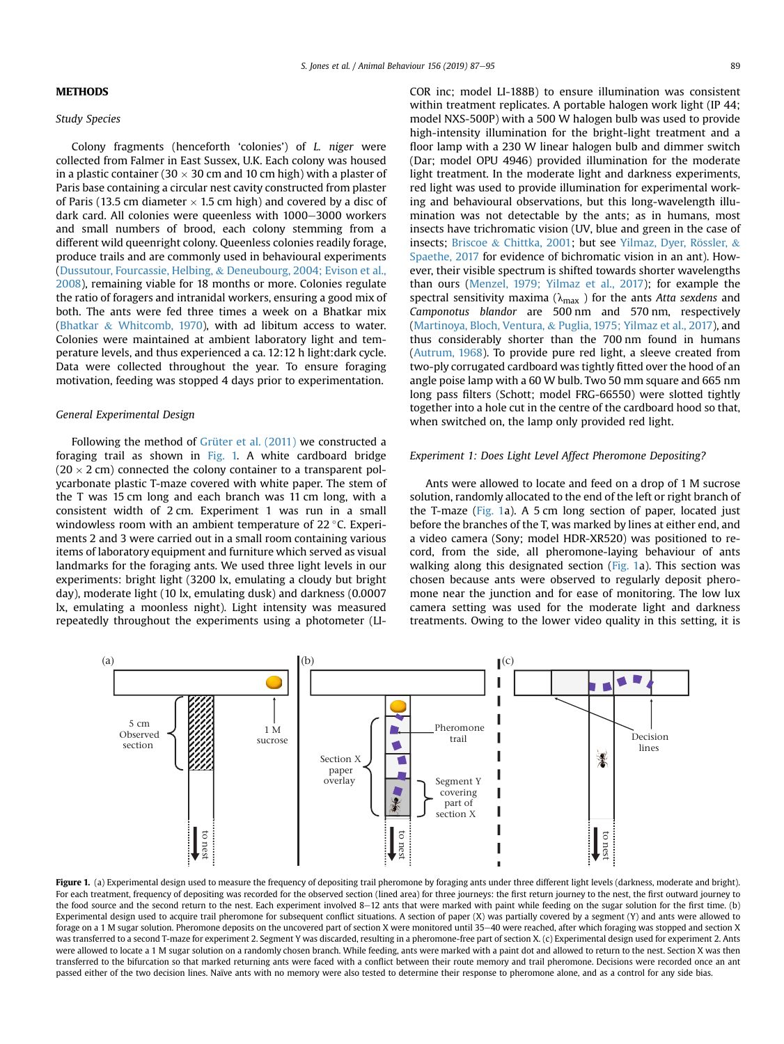## <span id="page-2-0"></span>**METHODS**

## Study Species

Colony fragments (henceforth 'colonies') of L. niger were collected from Falmer in East Sussex, U.K. Each colony was housed in a plastic container (30  $\times$  30 cm and 10 cm high) with a plaster of Paris base containing a circular nest cavity constructed from plaster of Paris (13.5 cm diameter  $\times$  1.5 cm high) and covered by a disc of dark card. All colonies were queenless with 1000-3000 workers and small numbers of brood, each colony stemming from a different wild queenright colony. Queenless colonies readily forage, produce trails and are commonly used in behavioural experiments ([Dussutour, Fourcassie, Helbing,](#page-8-0) & [Deneubourg, 2004; Evison et al.,](#page-8-0) [2008\)](#page-8-0), remaining viable for 18 months or more. Colonies regulate the ratio of foragers and intranidal workers, ensuring a good mix of both. The ants were fed three times a week on a Bhatkar mix ([Bhatkar](#page-7-0) & [Whitcomb, 1970\)](#page-7-0), with ad libitum access to water. Colonies were maintained at ambient laboratory light and temperature levels, and thus experienced a ca. 12:12 h light:dark cycle.

Data were collected throughout the year. To ensure foraging motivation, feeding was stopped 4 days prior to experimentation.

#### General Experimental Design

Following the method of [Grüter et al. \(2011\)](#page-8-0) we constructed a foraging trail as shown in Fig. 1. A white cardboard bridge  $(20 \times 2 \text{ cm})$  connected the colony container to a transparent polycarbonate plastic T-maze covered with white paper. The stem of the T was 15 cm long and each branch was 11 cm long, with a consistent width of 2 cm. Experiment 1 was run in a small windowless room with an ambient temperature of  $22^{\circ}$ C. Experiments 2 and 3 were carried out in a small room containing various items of laboratory equipment and furniture which served as visual landmarks for the foraging ants. We used three light levels in our experiments: bright light (3200 lx, emulating a cloudy but bright day), moderate light (10 lx, emulating dusk) and darkness (0.0007 lx, emulating a moonless night). Light intensity was measured repeatedly throughout the experiments using a photometer (LI- COR inc; model LI-188B) to ensure illumination was consistent within treatment replicates. A portable halogen work light (IP 44; model NXS-500P) with a 500 W halogen bulb was used to provide high-intensity illumination for the bright-light treatment and a floor lamp with a 230 W linear halogen bulb and dimmer switch (Dar; model OPU 4946) provided illumination for the moderate light treatment. In the moderate light and darkness experiments, red light was used to provide illumination for experimental working and behavioural observations, but this long-wavelength illumination was not detectable by the ants; as in humans, most insects have trichromatic vision (UV, blue and green in the case of insects; [Briscoe](#page-7-0) & [Chittka, 2001](#page-7-0); but see Yilmaz, Dyer, Rössler, & [Spaethe, 2017](#page-8-0) for evidence of bichromatic vision in an ant). However, their visible spectrum is shifted towards shorter wavelengths than ours ([Menzel, 1979; Yilmaz et al., 2017](#page-8-0)); for example the spectral sensitivity maxima ( $\lambda_{\text{max}}$ ) for the ants Atta sexdens and Camponotus blandor are 500 nm and 570 nm, respectively ([Martinoya, Bloch, Ventura,](#page-8-0) & [Puglia, 1975; Yilmaz et al., 2017\)](#page-8-0), and thus considerably shorter than the 700 nm found in humans ([Autrum, 1968\)](#page-7-0). To provide pure red light, a sleeve created from two-ply corrugated cardboard was tightly fitted over the hood of an angle poise lamp with a 60 W bulb. Two 50 mm square and 665 nm long pass filters (Schott; model FRG-66550) were slotted tightly together into a hole cut in the centre of the cardboard hood so that, when switched on, the lamp only provided red light.

#### Experiment 1: Does Light Level Affect Pheromone Depositing?

Ants were allowed to locate and feed on a drop of 1 M sucrose solution, randomly allocated to the end of the left or right branch of the T-maze (Fig. 1a). A 5 cm long section of paper, located just before the branches of the T, was marked by lines at either end, and a video camera (Sony; model HDR-XR520) was positioned to record, from the side, all pheromone-laying behaviour of ants walking along this designated section (Fig. 1a). This section was chosen because ants were observed to regularly deposit pheromone near the junction and for ease of monitoring. The low lux camera setting was used for the moderate light and darkness treatments. Owing to the lower video quality in this setting, it is



Figure 1. (a) Experimental design used to measure the frequency of depositing trail pheromone by foraging ants under three different light levels (darkness, moderate and bright). For each treatment, frequency of depositing was recorded for the observed section (lined area) for three journeys: the first return journey to the nest, the first outward journey to the food source and the second return to the nest. Each experiment involved 8-12 ants that were marked with paint while feeding on the sugar solution for the first time. (b) Experimental design used to acquire trail pheromone for subsequent conflict situations. A section of paper (X) was partially covered by a segment (Y) and ants were allowed to forage on a 1 M sugar solution. Pheromone deposits on the uncovered part of section X were monitored until 35-40 were reached, after which foraging was stopped and section X was transferred to a second T-maze for experiment 2. Segment Y was discarded, resulting in a pheromone-free part of section X. (c) Experimental design used for experiment 2. Ants were allowed to locate a 1 M sugar solution on a randomly chosen branch. While feeding, ants were marked with a paint dot and allowed to return to the nest. Section X was then transferred to the bifurcation so that marked returning ants were faced with a conflict between their route memory and trail pheromone. Decisions were recorded once an ant passed either of the two decision lines. Naïve ants with no memory were also tested to determine their response to pheromone alone, and as a control for any side bias.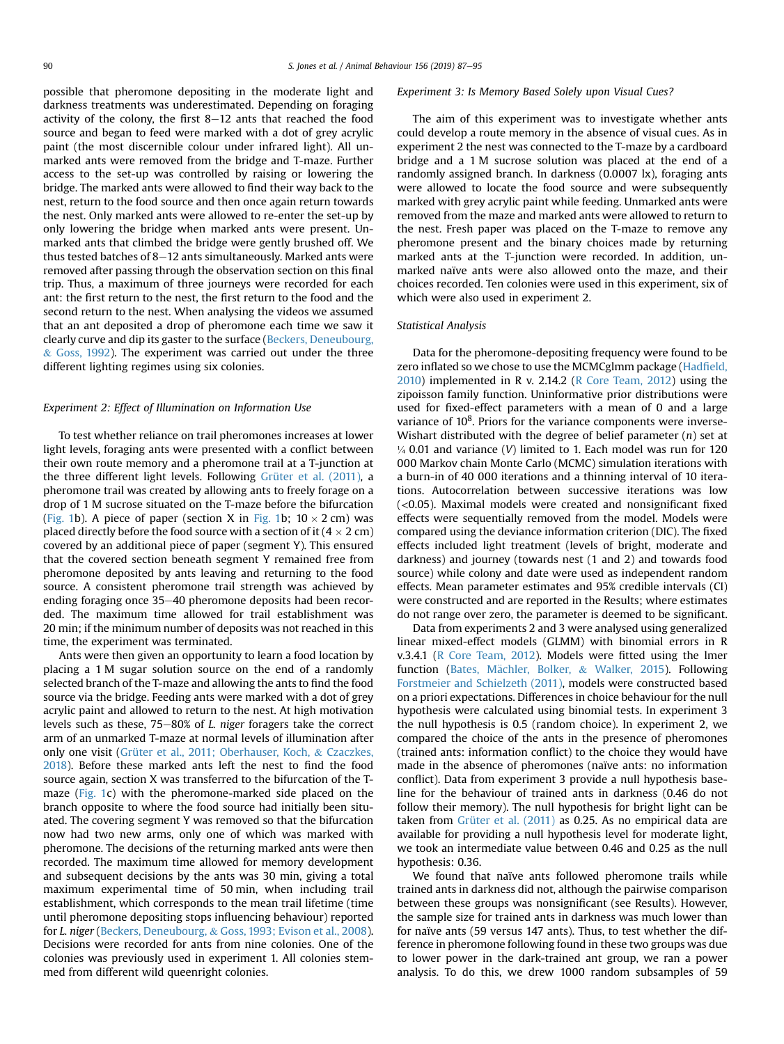possible that pheromone depositing in the moderate light and darkness treatments was underestimated. Depending on foraging activity of the colony, the first  $8-12$  ants that reached the food source and began to feed were marked with a dot of grey acrylic paint (the most discernible colour under infrared light). All unmarked ants were removed from the bridge and T-maze. Further access to the set-up was controlled by raising or lowering the bridge. The marked ants were allowed to find their way back to the nest, return to the food source and then once again return towards the nest. Only marked ants were allowed to re-enter the set-up by only lowering the bridge when marked ants were present. Unmarked ants that climbed the bridge were gently brushed off. We thus tested batches of  $8-12$  ants simultaneously. Marked ants were removed after passing through the observation section on this final trip. Thus, a maximum of three journeys were recorded for each ant: the first return to the nest, the first return to the food and the second return to the nest. When analysing the videos we assumed that an ant deposited a drop of pheromone each time we saw it clearly curve and dip its gaster to the surface ([Beckers, Deneubourg,](#page-7-0) & [Goss, 1992\)](#page-7-0). The experiment was carried out under the three different lighting regimes using six colonies.

#### Experiment 2: Effect of Illumination on Information Use

To test whether reliance on trail pheromones increases at lower light levels, foraging ants were presented with a conflict between their own route memory and a pheromone trail at a T-junction at the three different light levels. Following [Grüter et al. \(2011\),](#page-8-0) a pheromone trail was created by allowing ants to freely forage on a drop of 1 M sucrose situated on the T-maze before the bifurcation ([Fig. 1b](#page-2-0)). A piece of paper (section X in Fig. 1b;  $10 \times 2$  cm) was placed directly before the food source with a section of it  $(4 \times 2 \text{ cm})$ covered by an additional piece of paper (segment Y). This ensured that the covered section beneath segment Y remained free from pheromone deposited by ants leaving and returning to the food source. A consistent pheromone trail strength was achieved by ending foraging once 35-40 pheromone deposits had been recorded. The maximum time allowed for trail establishment was 20 min; if the minimum number of deposits was not reached in this time, the experiment was terminated.

Ants were then given an opportunity to learn a food location by placing a 1 M sugar solution source on the end of a randomly selected branch of the T-maze and allowing the ants to find the food source via the bridge. Feeding ants were marked with a dot of grey acrylic paint and allowed to return to the nest. At high motivation levels such as these,  $75-80\%$  of *L. niger* foragers take the correct arm of an unmarked T-maze at normal levels of illumination after only one visit [\(Grüter et al., 2011; Oberhauser, Koch,](#page-8-0) & [Czaczkes,](#page-8-0) [2018\)](#page-8-0). Before these marked ants left the nest to find the food source again, section X was transferred to the bifurcation of the Tmaze [\(Fig. 1](#page-2-0)c) with the pheromone-marked side placed on the branch opposite to where the food source had initially been situated. The covering segment Y was removed so that the bifurcation now had two new arms, only one of which was marked with pheromone. The decisions of the returning marked ants were then recorded. The maximum time allowed for memory development and subsequent decisions by the ants was 30 min, giving a total maximum experimental time of 50 min, when including trail establishment, which corresponds to the mean trail lifetime (time until pheromone depositing stops influencing behaviour) reported for L. niger [\(Beckers, Deneubourg,](#page-7-0) & [Goss, 1993; Evison et al., 2008\)](#page-7-0). Decisions were recorded for ants from nine colonies. One of the colonies was previously used in experiment 1. All colonies stemmed from different wild queenright colonies.

#### Experiment 3: Is Memory Based Solely upon Visual Cues?

The aim of this experiment was to investigate whether ants could develop a route memory in the absence of visual cues. As in experiment 2 the nest was connected to the T-maze by a cardboard bridge and a 1 M sucrose solution was placed at the end of a randomly assigned branch. In darkness (0.0007 lx), foraging ants were allowed to locate the food source and were subsequently marked with grey acrylic paint while feeding. Unmarked ants were removed from the maze and marked ants were allowed to return to the nest. Fresh paper was placed on the T-maze to remove any pheromone present and the binary choices made by returning marked ants at the T-junction were recorded. In addition, unmarked naïve ants were also allowed onto the maze, and their choices recorded. Ten colonies were used in this experiment, six of which were also used in experiment 2.

#### Statistical Analysis

Data for the pheromone-depositing frequency were found to be zero inflated so we chose to use the MCMCglmm package ([Had](#page-8-0)field, [2010\)](#page-8-0) implemented in R v. 2.14.2 [\(R Core Team, 2012](#page-8-0)) using the zipoisson family function. Uninformative prior distributions were used for fixed-effect parameters with a mean of 0 and a large variance of  $10<sup>8</sup>$ . Priors for the variance components were inverse-Wishart distributed with the degree of belief parameter  $(n)$  set at  $\frac{1}{4}$  0.01 and variance (V) limited to 1. Each model was run for 120 000 Markov chain Monte Carlo (MCMC) simulation iterations with a burn-in of 40 000 iterations and a thinning interval of 10 iterations. Autocorrelation between successive iterations was low (<0.05). Maximal models were created and nonsignificant fixed effects were sequentially removed from the model. Models were compared using the deviance information criterion (DIC). The fixed effects included light treatment (levels of bright, moderate and darkness) and journey (towards nest (1 and 2) and towards food source) while colony and date were used as independent random effects. Mean parameter estimates and 95% credible intervals (CI) were constructed and are reported in the Results; where estimates do not range over zero, the parameter is deemed to be significant.

Data from experiments 2 and 3 were analysed using generalized linear mixed-effect models (GLMM) with binomial errors in R v.3.4.1 [\(R Core Team, 2012\)](#page-8-0). Models were fitted using the lmer function [\(Bates, M](#page-7-0)ächler, Bolker, & [Walker, 2015\)](#page-7-0). Following [Forstmeier and Schielzeth \(2011\)](#page-8-0), models were constructed based on a priori expectations. Differences in choice behaviour for the null hypothesis were calculated using binomial tests. In experiment 3 the null hypothesis is 0.5 (random choice). In experiment 2, we compared the choice of the ants in the presence of pheromones (trained ants: information conflict) to the choice they would have made in the absence of pheromones (naïve ants: no information conflict). Data from experiment 3 provide a null hypothesis baseline for the behaviour of trained ants in darkness (0.46 do not follow their memory). The null hypothesis for bright light can be taken from [Grüter et al. \(2011\)](#page-8-0) as 0.25. As no empirical data are available for providing a null hypothesis level for moderate light, we took an intermediate value between 0.46 and 0.25 as the null hypothesis: 0.36.

We found that naïve ants followed pheromone trails while trained ants in darkness did not, although the pairwise comparison between these groups was nonsignificant (see Results). However, the sample size for trained ants in darkness was much lower than for naïve ants (59 versus 147 ants). Thus, to test whether the difference in pheromone following found in these two groups was due to lower power in the dark-trained ant group, we ran a power analysis. To do this, we drew 1000 random subsamples of 59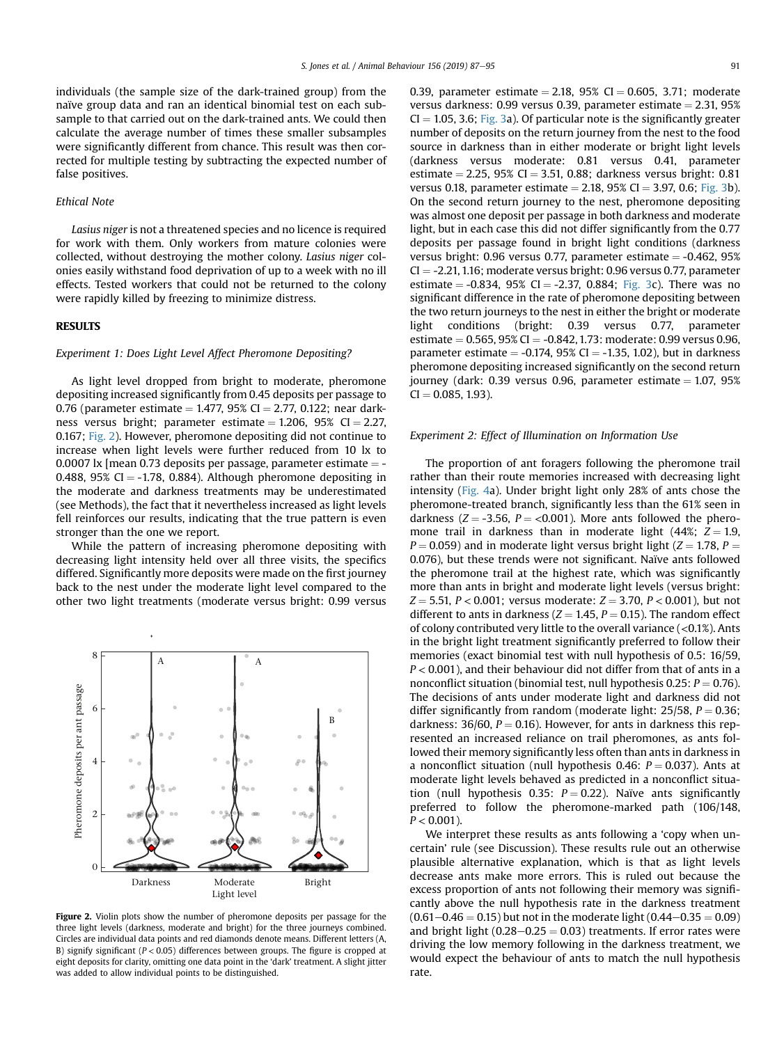<span id="page-4-0"></span>individuals (the sample size of the dark-trained group) from the naïve group data and ran an identical binomial test on each subsample to that carried out on the dark-trained ants. We could then calculate the average number of times these smaller subsamples were significantly different from chance. This result was then corrected for multiple testing by subtracting the expected number of false positives.

### Ethical Note

Lasius niger is not a threatened species and no licence is required for work with them. Only workers from mature colonies were collected, without destroying the mother colony. Lasius niger colonies easily withstand food deprivation of up to a week with no ill effects. Tested workers that could not be returned to the colony were rapidly killed by freezing to minimize distress.

#### RESULTS

#### Experiment 1: Does Light Level Affect Pheromone Depositing?

As light level dropped from bright to moderate, pheromone depositing increased significantly from 0.45 deposits per passage to 0.76 (parameter estimate = 1.477, 95% CI = 2.77, 0.122; near darkness versus bright; parameter estimate  $= 1.206$ , 95% CI  $= 2.27$ , 0.167; Fig. 2). However, pheromone depositing did not continue to increase when light levels were further reduced from 10 lx to 0.0007 lx [mean 0.73 deposits per passage, parameter estimate  $=$  -0.488, 95% CI  $=$  -1.78, 0.884). Although pheromone depositing in the moderate and darkness treatments may be underestimated (see Methods), the fact that it nevertheless increased as light levels fell reinforces our results, indicating that the true pattern is even stronger than the one we report.

While the pattern of increasing pheromone depositing with decreasing light intensity held over all three visits, the specifics differed. Significantly more deposits were made on the first journey back to the nest under the moderate light level compared to the other two light treatments (moderate versus bright: 0.99 versus



Figure 2. Violin plots show the number of pheromone deposits per passage for the three light levels (darkness, moderate and bright) for the three journeys combined. Circles are individual data points and red diamonds denote means. Different letters (A, B) signify significant ( $P < 0.05$ ) differences between groups. The figure is cropped at eight deposits for clarity, omitting one data point in the 'dark' treatment. A slight jitter was added to allow individual points to be distinguished.

0.39, parameter estimate = 2.18, 95% CI = 0.605, 3.71; moderate versus darkness: 0.99 versus 0.39, parameter estimate  $= 2.31, 95\%$  $CI = 1.05$ , 3.6; [Fig. 3](#page-5-0)a). Of particular note is the significantly greater number of deposits on the return journey from the nest to the food source in darkness than in either moderate or bright light levels (darkness versus moderate: 0.81 versus 0.41, parameter estimate  $= 2.25$ , 95% CI  $= 3.51$ , 0.88; darkness versus bright: 0.81 versus 0.18, parameter estimate  $= 2.18$ , 95% CI  $= 3.97$ , 0.6; [Fig. 3b](#page-5-0)). On the second return journey to the nest, pheromone depositing was almost one deposit per passage in both darkness and moderate light, but in each case this did not differ significantly from the 0.77 deposits per passage found in bright light conditions (darkness versus bright:  $0.96$  versus 0.77, parameter estimate =  $-0.462$ ,  $95%$  $CI = -2.21, 1.16$ ; moderate versus bright: 0.96 versus 0.77, parameter estimate  $= -0.834$ , 95% CI  $= -2.37$ , 0.884; [Fig. 3](#page-5-0)c). There was no significant difference in the rate of pheromone depositing between the two return journeys to the nest in either the bright or moderate light conditions (bright: 0.39 versus 0.77, parameter

estimate =  $0.565$ ,  $95\%$  CI =  $-0.842$ , 1.73: moderate: 0.99 versus 0.96, parameter estimate  $= -0.174$ , 95% CI  $= -1.35$ , 1.02), but in darkness pheromone depositing increased significantly on the second return journey (dark:  $0.39$  versus 0.96, parameter estimate = 1.07, 95%  $CI = 0.085, 1.93$ ).

## Experiment 2: Effect of Illumination on Information Use

The proportion of ant foragers following the pheromone trail rather than their route memories increased with decreasing light intensity [\(Fig. 4](#page-5-0)a). Under bright light only 28% of ants chose the pheromone-treated branch, significantly less than the 61% seen in darkness ( $Z = -3.56$ ,  $P = <0.001$ ). More ants followed the pheromone trail in darkness than in moderate light (44%;  $Z = 1.9$ ,  $P = 0.059$ ) and in moderate light versus bright light ( $Z = 1.78$ ,  $P =$ 0.076), but these trends were not significant. Naïve ants followed the pheromone trail at the highest rate, which was significantly more than ants in bright and moderate light levels (versus bright:  $Z = 5.51, P < 0.001$ ; versus moderate:  $Z = 3.70, P < 0.001$ ), but not different to ants in darkness ( $Z = 1.45$ ,  $P = 0.15$ ). The random effect of colony contributed very little to the overall variance (<0.1%). Ants in the bright light treatment significantly preferred to follow their memories (exact binomial test with null hypothesis of 0.5: 16/59,  $P < 0.001$ ), and their behaviour did not differ from that of ants in a nonconflict situation (binomial test, null hypothesis 0.25:  $P = 0.76$ ). The decisions of ants under moderate light and darkness did not differ significantly from random (moderate light:  $25/58$ ,  $P = 0.36$ ; darkness: 36/60,  $P = 0.16$ ). However, for ants in darkness this represented an increased reliance on trail pheromones, as ants followed their memory significantly less often than ants in darkness in a nonconflict situation (null hypothesis 0.46:  $P = 0.037$ ). Ants at moderate light levels behaved as predicted in a nonconflict situation (null hypothesis 0.35:  $P = 0.22$ ). Naïve ants significantly preferred to follow the pheromone-marked path (106/148,  $P < 0.001$ ).

We interpret these results as ants following a 'copy when uncertain' rule (see Discussion). These results rule out an otherwise plausible alternative explanation, which is that as light levels decrease ants make more errors. This is ruled out because the excess proportion of ants not following their memory was significantly above the null hypothesis rate in the darkness treatment  $(0.61-0.46 = 0.15)$  but not in the moderate light  $(0.44-0.35 = 0.09)$ and bright light  $(0.28-0.25 = 0.03)$  treatments. If error rates were driving the low memory following in the darkness treatment, we would expect the behaviour of ants to match the null hypothesis rate.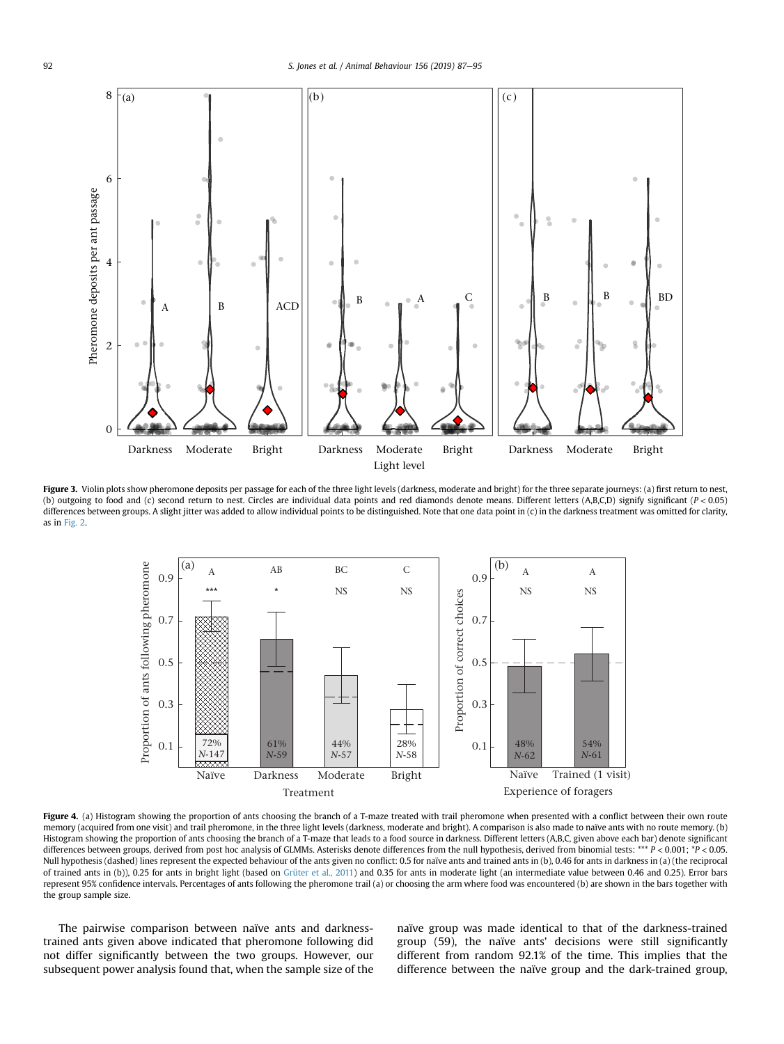<span id="page-5-0"></span>

Figure 3. Violin plots show pheromone deposits per passage for each of the three light levels (darkness, moderate and bright) for the three separate journeys: (a) first return to nest, (b) outgoing to food and (c) second return to nest. Circles are individual data points and red diamonds denote means. Different letters (A,B,C,D) signify significant (P < 0.05) differences between groups. A slight jitter was added to allow individual points to be distinguished. Note that one data point in (c) in the darkness treatment was omitted for clarity, as in [Fig. 2.](#page-4-0)



Figure 4. (a) Histogram showing the proportion of ants choosing the branch of a T-maze treated with trail pheromone when presented with a conflict between their own route memory (acquired from one visit) and trail pheromone, in the three light levels (darkness, moderate and bright). A comparison is also made to naïve ants with no route memory. (b) Histogram showing the proportion of ants choosing the branch of a T-maze that leads to a food source in darkness. Different letters (A,B,C, given above each bar) denote significant differences between groups, derived from post hoc analysis of GLMMs. Asterisks denote differences from the null hypothesis, derived from binomial tests: \*\*\* P < 0.001; \*P < 0.05. Null hypothesis (dashed) lines represent the expected behaviour of the ants given no conflict: 0.5 for naïve ants and trained ants in (b), 0.46 for ants in darkness in (a) (the reciprocal of trained ants in (b)), 0.25 for ants in bright light (based on [Grüter et al., 2011\)](#page-8-0) and 0.35 for ants in moderate light (an intermediate value between 0.46 and 0.25). Error bars represent 95% confidence intervals. Percentages of ants following the pheromone trail (a) or choosing the arm where food was encountered (b) are shown in the bars together with the group sample size.

The pairwise comparison between naïve ants and darknesstrained ants given above indicated that pheromone following did not differ significantly between the two groups. However, our subsequent power analysis found that, when the sample size of the naïve group was made identical to that of the darkness-trained group (59), the naïve ants' decisions were still significantly different from random 92.1% of the time. This implies that the difference between the naïve group and the dark-trained group,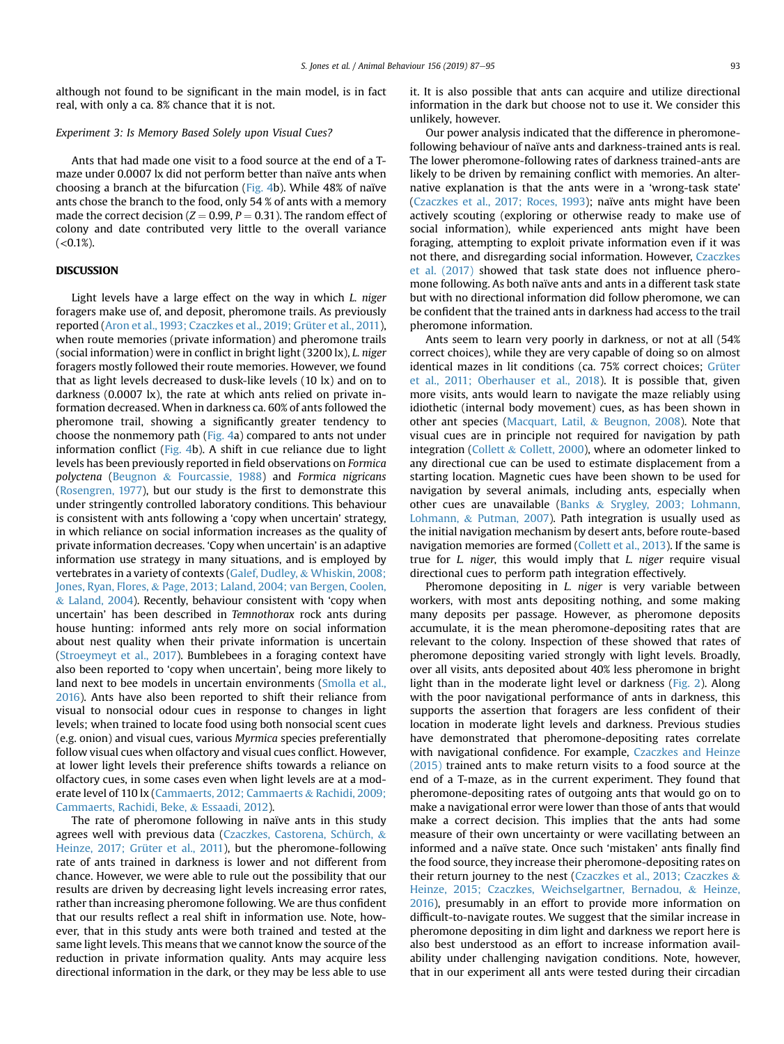although not found to be significant in the main model, is in fact real, with only a ca. 8% chance that it is not.

## Experiment 3: Is Memory Based Solely upon Visual Cues?

Ants that had made one visit to a food source at the end of a Tmaze under 0.0007 lx did not perform better than naïve ants when choosing a branch at the bifurcation [\(Fig. 4b](#page-5-0)). While 48% of naïve ants chose the branch to the food, only 54 % of ants with a memory made the correct decision ( $Z = 0.99$ ,  $P = 0.31$ ). The random effect of colony and date contributed very little to the overall variance  $( $0.1\%$ ).$ 

#### DISCUSSION

Light levels have a large effect on the way in which L. niger foragers make use of, and deposit, pheromone trails. As previously reported ([Aron et al., 1993; Czaczkes et al., 2019; Grüter et al., 2011\)](#page-7-0), when route memories (private information) and pheromone trails (social information) were in conflict in bright light (3200 lx), L. niger foragers mostly followed their route memories. However, we found that as light levels decreased to dusk-like levels (10 lx) and on to darkness (0.0007 lx), the rate at which ants relied on private information decreased. When in darkness ca. 60% of ants followed the pheromone trail, showing a significantly greater tendency to choose the nonmemory path ([Fig. 4a](#page-5-0)) compared to ants not under information conflict [\(Fig. 4b](#page-5-0)). A shift in cue reliance due to light levels has been previously reported in field observations on Formica polyctena ([Beugnon](#page-7-0) & [Fourcassie, 1988](#page-7-0)) and Formica nigricans ([Rosengren, 1977](#page-8-0)), but our study is the first to demonstrate this under stringently controlled laboratory conditions. This behaviour is consistent with ants following a 'copy when uncertain' strategy, in which reliance on social information increases as the quality of private information decreases. 'Copy when uncertain' is an adaptive information use strategy in many situations, and is employed by vertebrates in a variety of contexts [\(Galef, Dudley,](#page-8-0) & [Whiskin, 2008;](#page-8-0) [Jones, Ryan, Flores,](#page-8-0) & [Page, 2013; Laland, 2004; van Bergen, Coolen,](#page-8-0) & [Laland, 2004](#page-8-0)). Recently, behaviour consistent with 'copy when uncertain' has been described in Temnothorax rock ants during house hunting: informed ants rely more on social information about nest quality when their private information is uncertain ([Stroeymeyt et al., 2017](#page-8-0)). Bumblebees in a foraging context have also been reported to 'copy when uncertain', being more likely to land next to bee models in uncertain environments ([Smolla et al.,](#page-8-0) [2016\)](#page-8-0). Ants have also been reported to shift their reliance from visual to nonsocial odour cues in response to changes in light levels; when trained to locate food using both nonsocial scent cues (e.g. onion) and visual cues, various Myrmica species preferentially follow visual cues when olfactory and visual cues conflict. However, at lower light levels their preference shifts towards a reliance on olfactory cues, in some cases even when light levels are at a moderate level of 110 lx [\(Cammaerts, 2012; Cammaerts](#page-7-0) & [Rachidi, 2009;](#page-7-0) [Cammaerts, Rachidi, Beke,](#page-7-0) & [Essaadi, 2012\)](#page-7-0).

The rate of pheromone following in naïve ants in this study agrees well with previous data ([Czaczkes, Castorena, Schürch,](#page-7-0) & [Heinze, 2017; Grüter et al., 2011\)](#page-7-0), but the pheromone-following rate of ants trained in darkness is lower and not different from chance. However, we were able to rule out the possibility that our results are driven by decreasing light levels increasing error rates, rather than increasing pheromone following. We are thus confident that our results reflect a real shift in information use. Note, however, that in this study ants were both trained and tested at the same light levels. This means that we cannot know the source of the reduction in private information quality. Ants may acquire less directional information in the dark, or they may be less able to use it. It is also possible that ants can acquire and utilize directional information in the dark but choose not to use it. We consider this unlikely, however.

Our power analysis indicated that the difference in pheromonefollowing behaviour of naïve ants and darkness-trained ants is real. The lower pheromone-following rates of darkness trained-ants are likely to be driven by remaining conflict with memories. An alternative explanation is that the ants were in a 'wrong-task state' ([Czaczkes et al., 2017; Roces, 1993\)](#page-7-0); naïve ants might have been actively scouting (exploring or otherwise ready to make use of social information), while experienced ants might have been foraging, attempting to exploit private information even if it was not there, and disregarding social information. However, [Czaczkes](#page-7-0) [et al. \(2017\)](#page-7-0) showed that task state does not influence pheromone following. As both naïve ants and ants in a different task state but with no directional information did follow pheromone, we can be confident that the trained ants in darkness had access to the trail pheromone information.

Ants seem to learn very poorly in darkness, or not at all (54% correct choices), while they are very capable of doing so on almost identical mazes in lit conditions (ca. 75% correct choices; [Grüter](#page-8-0) [et al., 2011; Oberhauser et al., 2018\)](#page-8-0). It is possible that, given more visits, ants would learn to navigate the maze reliably using idiothetic (internal body movement) cues, as has been shown in other ant species [\(Macquart, Latil,](#page-8-0) & [Beugnon, 2008](#page-8-0)). Note that visual cues are in principle not required for navigation by path integration ([Collett](#page-7-0)  $&$  [Collett, 2000\)](#page-7-0), where an odometer linked to any directional cue can be used to estimate displacement from a starting location. Magnetic cues have been shown to be used for navigation by several animals, including ants, especially when other cues are unavailable ([Banks](#page-7-0) & [Srygley, 2003; Lohmann,](#page-7-0) [Lohmann,](#page-7-0) & [Putman, 2007](#page-7-0)). Path integration is usually used as the initial navigation mechanism by desert ants, before route-based navigation memories are formed ([Collett et al., 2013](#page-7-0)). If the same is true for L. niger, this would imply that L. niger require visual directional cues to perform path integration effectively.

Pheromone depositing in L. niger is very variable between workers, with most ants depositing nothing, and some making many deposits per passage. However, as pheromone deposits accumulate, it is the mean pheromone-depositing rates that are relevant to the colony. Inspection of these showed that rates of pheromone depositing varied strongly with light levels. Broadly, over all visits, ants deposited about 40% less pheromone in bright light than in the moderate light level or darkness [\(Fig. 2](#page-4-0)). Along with the poor navigational performance of ants in darkness, this supports the assertion that foragers are less confident of their location in moderate light levels and darkness. Previous studies have demonstrated that pheromone-depositing rates correlate with navigational confidence. For example, [Czaczkes and Heinze](#page-7-0) [\(2015\)](#page-7-0) trained ants to make return visits to a food source at the end of a T-maze, as in the current experiment. They found that pheromone-depositing rates of outgoing ants that would go on to make a navigational error were lower than those of ants that would make a correct decision. This implies that the ants had some measure of their own uncertainty or were vacillating between an informed and a naïve state. Once such 'mistaken' ants finally find the food source, they increase their pheromone-depositing rates on their return journey to the nest [\(Czaczkes et al., 2013; Czaczkes](#page-7-0) & [Heinze, 2015; Czaczkes, Weichselgartner, Bernadou,](#page-7-0) & [Heinze,](#page-7-0) [2016\)](#page-7-0), presumably in an effort to provide more information on difficult-to-navigate routes. We suggest that the similar increase in pheromone depositing in dim light and darkness we report here is also best understood as an effort to increase information availability under challenging navigation conditions. Note, however, that in our experiment all ants were tested during their circadian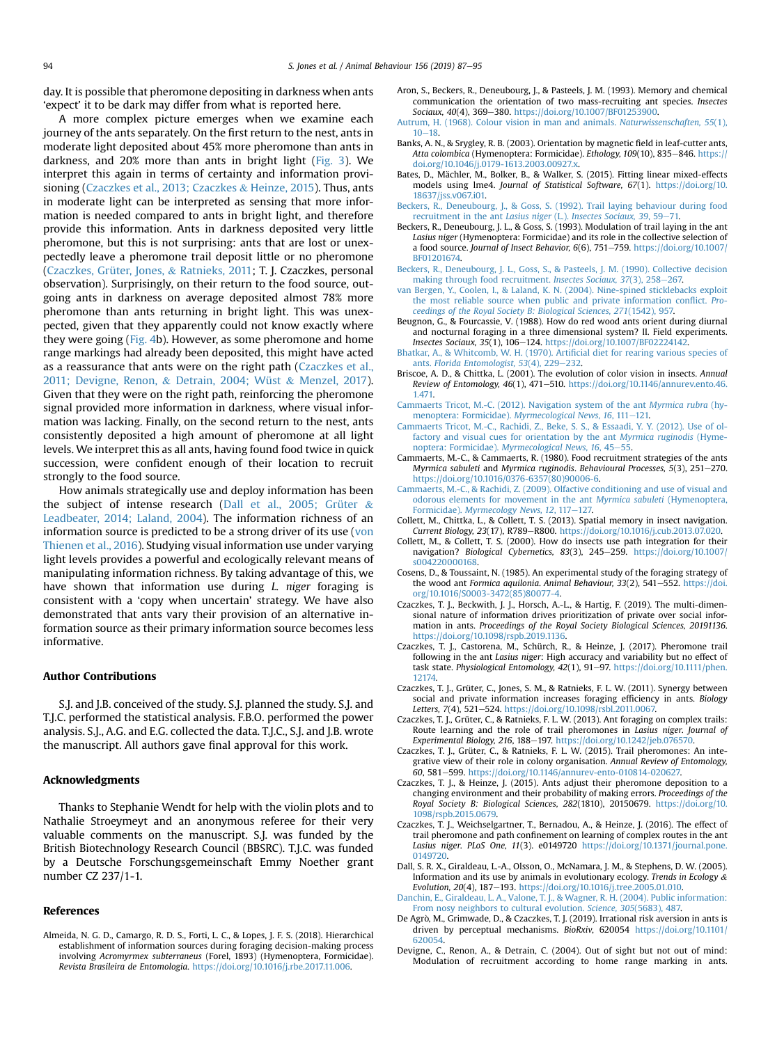<span id="page-7-0"></span>day. It is possible that pheromone depositing in darkness when ants 'expect' it to be dark may differ from what is reported here.

A more complex picture emerges when we examine each journey of the ants separately. On the first return to the nest, ants in moderate light deposited about 45% more pheromone than ants in darkness, and 20% more than ants in bright light ([Fig. 3](#page-5-0)). We interpret this again in terms of certainty and information provisioning (Czaczkes et al., 2013; Czaczkes & Heinze, 2015). Thus, ants in moderate light can be interpreted as sensing that more information is needed compared to ants in bright light, and therefore provide this information. Ants in darkness deposited very little pheromone, but this is not surprising: ants that are lost or unexpectedly leave a pheromone trail deposit little or no pheromone (Czaczkes, Grüter, Jones, & Ratnieks, 2011; T. J. Czaczkes, personal observation). Surprisingly, on their return to the food source, outgoing ants in darkness on average deposited almost 78% more pheromone than ants returning in bright light. This was unexpected, given that they apparently could not know exactly where they were going ([Fig. 4b](#page-5-0)). However, as some pheromone and home range markings had already been deposited, this might have acted as a reassurance that ants were on the right path (Czaczkes et al., 2011; Devigne, Renon, & Detrain, 2004; Wüst & Menzel, 2017). Given that they were on the right path, reinforcing the pheromone signal provided more information in darkness, where visual information was lacking. Finally, on the second return to the nest, ants consistently deposited a high amount of pheromone at all light levels. We interpret this as all ants, having found food twice in quick succession, were confident enough of their location to recruit strongly to the food source.

How animals strategically use and deploy information has been the subject of intense research (Dall et al., 2005; Grüter  $\&$ Leadbeater, 2014; Laland, 2004). The information richness of an information source is predicted to be a strong driver of its use ([von](#page-8-0) [Thienen et al., 2016\)](#page-8-0). Studying visual information use under varying light levels provides a powerful and ecologically relevant means of manipulating information richness. By taking advantage of this, we have shown that information use during *L. niger* foraging is consistent with a 'copy when uncertain' strategy. We have also demonstrated that ants vary their provision of an alternative information source as their primary information source becomes less informative.

## Author Contributions

S.J. and J.B. conceived of the study. S.J. planned the study. S.J. and T.J.C. performed the statistical analysis. F.B.O. performed the power analysis. S.J., A.G. and E.G. collected the data. T.J.C., S.J. and J.B. wrote the manuscript. All authors gave final approval for this work.

#### Acknowledgments

Thanks to Stephanie Wendt for help with the violin plots and to Nathalie Stroeymeyt and an anonymous referee for their very valuable comments on the manuscript. S.J. was funded by the British Biotechnology Research Council (BBSRC). T.J.C. was funded by a Deutsche Forschungsgemeinschaft Emmy Noether grant number CZ 237/1-1.

#### References

Almeida, N. G. D., Camargo, R. D. S., Forti, L. C., & Lopes, J. F. S. (2018). Hierarchical establishment of information sources during foraging decision-making process involving Acromyrmex subterraneus (Forel, 1893) (Hymenoptera, Formicidae). Revista Brasileira de Entomologia. <https://doi.org/10.1016/j.rbe.2017.11.006>.

- Aron, S., Beckers, R., Deneubourg, J., & Pasteels, J. M. (1993). Memory and chemical communication the orientation of two mass-recruiting ant species. Insectes Sociaux, 40(4), 369-380. <https://doi.org/10.1007/BF01253900>.
- [Autrum, H. \(1968\). Colour vision in man and animals.](http://refhub.elsevier.com/S0003-3472(19)30252-0/sref3) Naturwissenschaften, 55(1),  $10 - 18$  $10 - 18$
- Banks, A. N., & Srygley, R. B. (2003). Orientation by magnetic field in leaf-cutter ants, Atta colombica (Hymenoptera: Formicidae). Ethology, 109(10), 835-846. [https://](https://doi.org/10.1046/j.0179-1613.2003.00927.x) [doi.org/10.1046/j.0179-1613.2003.00927.x](https://doi.org/10.1046/j.0179-1613.2003.00927.x).
- Bates, D., Mächler, M., Bolker, B., & Walker, S. (2015). Fitting linear mixed-effects models using lme4. Journal of Statistical Software, 67(1). [https://doi.org/10.](https://doi.org/10.18637/jss.v067.i01) [18637/jss.v067.i01.](https://doi.org/10.18637/jss.v067.i01)
- [Beckers, R., Deneubourg, J., & Goss, S. \(1992\). Trail laying behaviour during food](http://refhub.elsevier.com/S0003-3472(19)30252-0/sref6) [recruitment in the ant](http://refhub.elsevier.com/S0003-3472(19)30252-0/sref6) Lasius niger (L.). Insectes Sociaux, 39, 59–[71.](http://refhub.elsevier.com/S0003-3472(19)30252-0/sref6)
- Beckers, R., Deneubourg, J. L., & Goss, S. (1993). Modulation of trail laying in the ant Lasius niger (Hymenoptera: Formicidae) and its role in the collective selection of a food source. Journal of Insect Behavior, 6(6), 751-759. [https://doi.org/10.1007/](https://doi.org/10.1007/BF01201674) [BF01201674.](https://doi.org/10.1007/BF01201674)
- [Beckers, R., Deneubourg, J. L., Goss, S., & Pasteels, J. M. \(1990\). Collective decision](http://refhub.elsevier.com/S0003-3472(19)30252-0/sref8) [making through food recruitment.](http://refhub.elsevier.com/S0003-3472(19)30252-0/sref8) Insectes Sociaux, 37(3), 258-[267.](http://refhub.elsevier.com/S0003-3472(19)30252-0/sref8)
- [van Bergen, Y., Coolen, I., & Laland, K. N. \(2004\). Nine-spined sticklebacks exploit](http://refhub.elsevier.com/S0003-3472(19)30252-0/sref9) [the most reliable source when public and private information con](http://refhub.elsevier.com/S0003-3472(19)30252-0/sref9)flict. Pro[ceedings of the Royal Society B: Biological Sciences, 271](http://refhub.elsevier.com/S0003-3472(19)30252-0/sref9)(1542), 957.
- Beugnon, G., & Fourcassie, V. (1988). How do red wood ants orient during diurnal and nocturnal foraging in a three dimensional system? II. Field experiments. Insectes Sociaux, 35(1), 106-124. <https://doi.org/10.1007/BF02224142>.
- [Bhatkar, A., & Whitcomb, W. H. \(1970\). Arti](http://refhub.elsevier.com/S0003-3472(19)30252-0/sref11)ficial diet for rearing various species of ants. [Florida Entomologist, 53](http://refhub.elsevier.com/S0003-3472(19)30252-0/sref11)(4), 229-[232](http://refhub.elsevier.com/S0003-3472(19)30252-0/sref11).
- Briscoe, A. D., & Chittka, L. (2001). The evolution of color vision in insects. Annual Review of Entomology, 46(1), 471-510. [https://doi.org/10.1146/annurev.ento.46.](https://doi.org/10.1146/annurev.ento.46.1.471) [1.471.](https://doi.org/10.1146/annurev.ento.46.1.471)
- [Cammaerts Tricot, M.-C. \(2012\). Navigation system of the ant](http://refhub.elsevier.com/S0003-3472(19)30252-0/sref13) Myrmica rubra (hy[menoptera: Formicidae\).](http://refhub.elsevier.com/S0003-3472(19)30252-0/sref13) Myrmecological News, 16, 111-[121.](http://refhub.elsevier.com/S0003-3472(19)30252-0/sref13)
- [Cammaerts Tricot, M.-C., Rachidi, Z., Beke, S. S., & Essaadi, Y. Y. \(2012\). Use of ol](http://refhub.elsevier.com/S0003-3472(19)30252-0/sref14)[factory and visual cues for orientation by the ant](http://refhub.elsevier.com/S0003-3472(19)30252-0/sref14) Myrmica ruginodis (Hyme-noptera: Formicidae). [Myrmecological News, 16](http://refhub.elsevier.com/S0003-3472(19)30252-0/sref14), 45-[55](http://refhub.elsevier.com/S0003-3472(19)30252-0/sref14).
- Cammaerts, M.-C., & Cammaerts, R. (1980). Food recruitment strategies of the ants Myrmica sabuleti and Myrmica ruginodis. Behavioural Processes, 5(3), 251-270. [https://doi.org/10.1016/0376-6357\(80\)90006-6](https://doi.org/10.1016/0376-6357(80)90006-6).
- [Cammaerts, M.-C., & Rachidi, Z. \(2009\). Olfactive conditioning and use of visual and](http://refhub.elsevier.com/S0003-3472(19)30252-0/sref16) [odorous elements for movement in the ant](http://refhub.elsevier.com/S0003-3472(19)30252-0/sref16) Myrmica sabuleti (Hymenoptera, Formicidae). [Myrmecology News, 12](http://refhub.elsevier.com/S0003-3472(19)30252-0/sref16), 117-[127.](http://refhub.elsevier.com/S0003-3472(19)30252-0/sref16)
- Collett, M., Chittka, L., & Collett, T. S. (2013). Spatial memory in insect navigation. Current Biology, 23(17), R789-R800. [https://doi.org/10.1016/j.cub.2013.07.020.](https://doi.org/10.1016/j.cub.2013.07.020)
- Collett, M., & Collett, T. S. (2000). How do insects use path integration for their navigation? Biological Cybernetics, 83(3), 245-259. [https://doi.org/10.1007/](https://doi.org/10.1007/s004220000168) [s004220000168.](https://doi.org/10.1007/s004220000168)
- Cosens, D., & Toussaint, N. (1985). An experimental study of the foraging strategy of the wood ant Formica aquilonia. Animal Behaviour, 33(2), 541-552. [https://doi.](https://doi.org/10.1016/S0003-3472(85)80077-4) [org/10.1016/S0003-3472\(85\)80077-4](https://doi.org/10.1016/S0003-3472(85)80077-4).
- Czaczkes, T. J., Beckwith, J. J., Horsch, A.-L., & Hartig, F. (2019). The multi-dimensional nature of information drives prioritization of private over social information in ants. Proceedings of the Royal Society Biological Sciences, 20191136. <https://doi.org/10.1098/rspb.2019.1136>.
- Czaczkes, T. J., Castorena, M., Schürch, R., & Heinze, J. (2017). Pheromone trail following in the ant Lasius niger: High accuracy and variability but no effect of task state. Physiological Entomology, 42(1), 91-97. [https://doi.org/10.1111/phen.](https://doi.org/10.1111/phen.12174) [12174](https://doi.org/10.1111/phen.12174).
- Czaczkes, T. J., Grüter, C., Jones, S. M., & Ratnieks, F. L. W. (2011). Synergy between social and private information increases foraging efficiency in ants. Biology Letters, 7(4), 521-524. [https://doi.org/10.1098/rsbl.2011.0067.](https://doi.org/10.1098/rsbl.2011.0067)
- Czaczkes, T. J., Grüter, C., & Ratnieks, F. L. W. (2013). Ant foraging on complex trails: Route learning and the role of trail pheromones in Lasius niger. Journal of Experimental Biology, 216, 188-197. [https://doi.org/10.1242/jeb.076570.](https://doi.org/10.1242/jeb.076570)
- Czaczkes, T. J., Grüter, C., & Ratnieks, F. L. W. (2015). Trail pheromones: An integrative view of their role in colony organisation. Annual Review of Entomology, 60, 581-599. [https://doi.org/10.1146/annurev-ento-010814-020627.](https://doi.org/10.1146/annurev-ento-010814-020627)
- Czaczkes, T. J., & Heinze, J. (2015). Ants adjust their pheromone deposition to a changing environment and their probability of making errors. Proceedings of the Royal Society B: Biological Sciences, 282(1810), 20150679. [https://doi.org/10.](https://doi.org/10.1098/rspb.2015.0679) [1098/rspb.2015.0679.](https://doi.org/10.1098/rspb.2015.0679)
- Czaczkes, T. J., Weichselgartner, T., Bernadou, A., & Heinze, J. (2016). The effect of trail pheromone and path confinement on learning of complex routes in the ant Lasius niger. PLoS One, 11(3). e0149720 [https://doi.org/10.1371/journal.pone.](https://doi.org/10.1371/journal.pone.0149720) [0149720.](https://doi.org/10.1371/journal.pone.0149720)
- Dall, S. R. X., Giraldeau, L.-A., Olsson, O., McNamara, J. M., & Stephens, D. W. (2005). Information and its use by animals in evolutionary ecology. Trends in Ecology & Evolution, 20(4), 187-193. [https://doi.org/10.1016/j.tree.2005.01.010.](https://doi.org/10.1016/j.tree.2005.01.010)
- [Danchin, E., Giraldeau, L. A., Valone, T. J., & Wagner, R. H. \(2004\). Public information:](http://refhub.elsevier.com/S0003-3472(19)30252-0/sref28) [From nosy neighbors to cultural evolution.](http://refhub.elsevier.com/S0003-3472(19)30252-0/sref28) Science, 305(5683), 487.
- De Agrò, M., Grimwade, D., & Czaczkes, T. J. (2019). Irrational risk aversion in ants is driven by perceptual mechanisms. BioRxiv, 620054 [https://doi.org/10.1101/](https://doi.org/10.1101/620054) [620054.](https://doi.org/10.1101/620054)
- Devigne, C., Renon, A., & Detrain, C. (2004). Out of sight but not out of mind: Modulation of recruitment according to home range marking in ants.